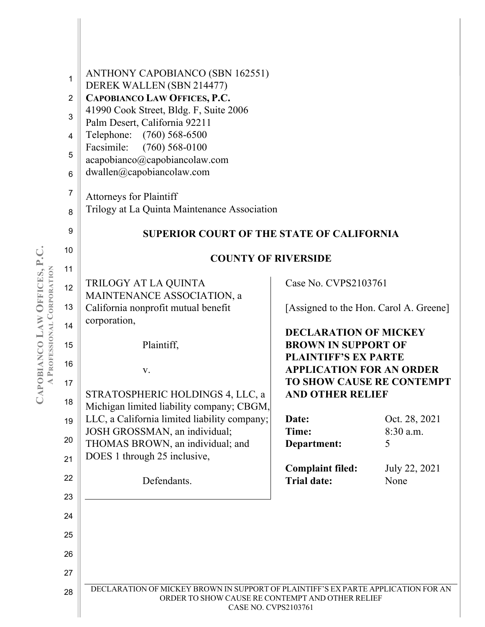| 1<br>$\overline{2}$<br>3<br>4<br>5<br>6<br>7<br>8<br>9 | ANTHONY CAPOBIANCO (SBN 162551)<br>DEREK WALLEN (SBN 214477)<br>CAPOBIANCO LAW OFFICES, P.C.<br>41990 Cook Street, Bldg. F, Suite 2006<br>Palm Desert, California 92211<br>Telephone: (760) 568-6500<br>Facsimile:<br>$(760)$ 568-0100<br>acapobianco@capobiancolaw.com<br>dwallen@capobiancolaw.com<br><b>Attorneys for Plaintiff</b><br>Trilogy at La Quinta Maintenance Association<br><b>SUPERIOR COURT OF THE STATE OF CALIFORNIA</b> |                                                                     |               |
|--------------------------------------------------------|--------------------------------------------------------------------------------------------------------------------------------------------------------------------------------------------------------------------------------------------------------------------------------------------------------------------------------------------------------------------------------------------------------------------------------------------|---------------------------------------------------------------------|---------------|
| 10                                                     |                                                                                                                                                                                                                                                                                                                                                                                                                                            |                                                                     |               |
| 11                                                     | <b>COUNTY OF RIVERSIDE</b>                                                                                                                                                                                                                                                                                                                                                                                                                 |                                                                     |               |
| 12                                                     | TRILOGY AT LA QUINTA                                                                                                                                                                                                                                                                                                                                                                                                                       | Case No. CVPS2103761                                                |               |
| 13                                                     | MAINTENANCE ASSOCIATION, a<br>California nonprofit mutual benefit                                                                                                                                                                                                                                                                                                                                                                          | [Assigned to the Hon. Carol A. Greene]                              |               |
| 14                                                     | corporation,                                                                                                                                                                                                                                                                                                                                                                                                                               |                                                                     |               |
| 15                                                     | Plaintiff,                                                                                                                                                                                                                                                                                                                                                                                                                                 | <b>DECLARATION OF MICKEY</b><br><b>BROWN IN SUPPORT OF</b>          |               |
| 16                                                     |                                                                                                                                                                                                                                                                                                                                                                                                                                            | <b>PLAINTIFF'S EX PARTE</b>                                         |               |
| 17                                                     | V.                                                                                                                                                                                                                                                                                                                                                                                                                                         | <b>APPLICATION FOR AN ORDER</b><br><b>TO SHOW CAUSE RE CONTEMPT</b> |               |
| 18                                                     | STRATOSPHERIC HOLDINGS 4, LLC, a                                                                                                                                                                                                                                                                                                                                                                                                           | <b>AND OTHER RELIEF</b>                                             |               |
| 19                                                     | Michigan limited liability company; CBGM,<br>LLC, a California limited liability company;                                                                                                                                                                                                                                                                                                                                                  | Date:                                                               | Oct. 28, 2021 |
|                                                        | JOSH GROSSMAN, an individual;                                                                                                                                                                                                                                                                                                                                                                                                              | Time:                                                               | 8:30 a.m.     |
| 20                                                     | THOMAS BROWN, an individual; and                                                                                                                                                                                                                                                                                                                                                                                                           | Department:                                                         | 5             |
| 21                                                     | DOES 1 through 25 inclusive,                                                                                                                                                                                                                                                                                                                                                                                                               | <b>Complaint filed:</b>                                             | July 22, 2021 |
| 22                                                     | Defendants.                                                                                                                                                                                                                                                                                                                                                                                                                                | <b>Trial date:</b>                                                  | None          |
| 23                                                     |                                                                                                                                                                                                                                                                                                                                                                                                                                            |                                                                     |               |
| 24                                                     |                                                                                                                                                                                                                                                                                                                                                                                                                                            |                                                                     |               |
| 25                                                     |                                                                                                                                                                                                                                                                                                                                                                                                                                            |                                                                     |               |
| 26                                                     |                                                                                                                                                                                                                                                                                                                                                                                                                                            |                                                                     |               |
| 27                                                     |                                                                                                                                                                                                                                                                                                                                                                                                                                            |                                                                     |               |
| 28                                                     | DECLARATION OF MICKEY BROWN IN SUPPORT OF PLAINTIFF'S EX PARTE APPLICATION FOR AN                                                                                                                                                                                                                                                                                                                                                          |                                                                     |               |
|                                                        | ORDER TO SHOW CAUSE RE CONTEMPT AND OTHER RELIEF<br><b>CASE NO. CVPS2103761</b>                                                                                                                                                                                                                                                                                                                                                            |                                                                     |               |

**CAPOBIANCO LAW OFFICES, P.C. APROFESSIONAL CORPORATION**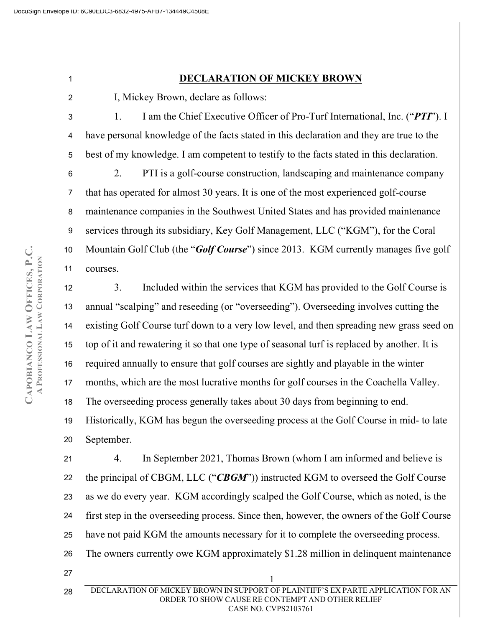## 1

2

4

6

7

8

9

10

11

27

28

## **DECLARATION OF MICKEY BROWN**

I, Mickey Brown, declare as follows:

3 5 1. I am the Chief Executive Officer of Pro-Turf International, Inc. ("*PTI*"). I have personal knowledge of the facts stated in this declaration and they are true to the best of my knowledge. I am competent to testify to the facts stated in this declaration.

2. PTI is a golf-course construction, landscaping and maintenance company that has operated for almost 30 years. It is one of the most experienced golf-course maintenance companies in the Southwest United States and has provided maintenance services through its subsidiary, Key Golf Management, LLC ("KGM"), for the Coral Mountain Golf Club (the "*Golf Course*") since 2013. KGM currently manages five golf courses.

12 13 14 15 16 17 18 19 20 3. Included within the services that KGM has provided to the Golf Course is annual "scalping" and reseeding (or "overseeding"). Overseeding involves cutting the existing Golf Course turf down to a very low level, and then spreading new grass seed on top of it and rewatering it so that one type of seasonal turf is replaced by another. It is required annually to ensure that golf courses are sightly and playable in the winter months, which are the most lucrative months for golf courses in the Coachella Valley. The overseeding process generally takes about 30 days from beginning to end. Historically, KGM has begun the overseeding process at the Golf Course in mid- to late September.

21 22 23 24 25 26 4. In September 2021, Thomas Brown (whom I am informed and believe is the principal of CBGM, LLC ("*CBGM*")) instructed KGM to overseed the Golf Course as we do every year. KGM accordingly scalped the Golf Course, which as noted, is the first step in the overseeding process. Since then, however, the owners of the Golf Course have not paid KGM the amounts necessary for it to complete the overseeding process. The owners currently owe KGM approximately \$1.28 million in delinquent maintenance